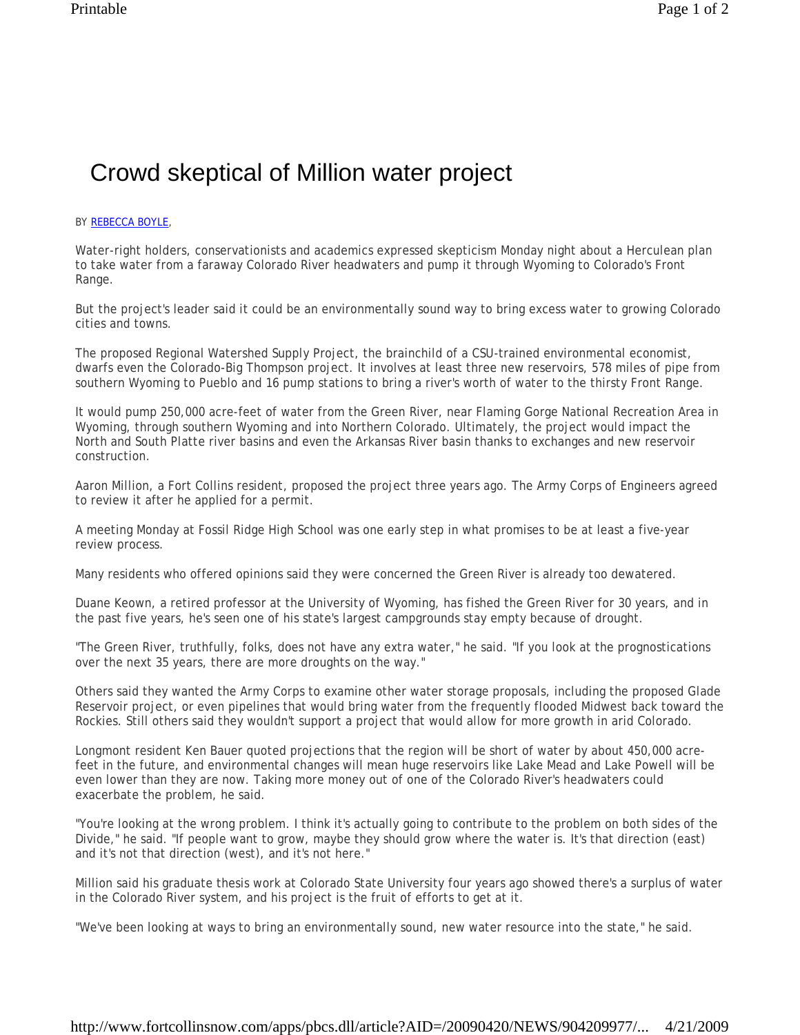## Crowd skeptical of Million water project

## BY REBECCA BOYLE,

Water-right holders, conservationists and academics expressed skepticism Monday night about a Herculean plan to take water from a faraway Colorado River headwaters and pump it through Wyoming to Colorado's Front Range.

But the project's leader said it could be an environmentally sound way to bring excess water to growing Colorado cities and towns.

The proposed Regional Watershed Supply Project, the brainchild of a CSU-trained environmental economist, dwarfs even the Colorado-Big Thompson project. It involves at least three new reservoirs, 578 miles of pipe from southern Wyoming to Pueblo and 16 pump stations to bring a river's worth of water to the thirsty Front Range.

It would pump 250,000 acre-feet of water from the Green River, near Flaming Gorge National Recreation Area in Wyoming, through southern Wyoming and into Northern Colorado. Ultimately, the project would impact the North and South Platte river basins and even the Arkansas River basin thanks to exchanges and new reservoir construction.

Aaron Million, a Fort Collins resident, proposed the project three years ago. The Army Corps of Engineers agreed to review it after he applied for a permit.

A meeting Monday at Fossil Ridge High School was one early step in what promises to be at least a five-year review process.

Many residents who offered opinions said they were concerned the Green River is already too dewatered.

Duane Keown, a retired professor at the University of Wyoming, has fished the Green River for 30 years, and in the past five years, he's seen one of his state's largest campgrounds stay empty because of drought.

"The Green River, truthfully, folks, does not have any extra water," he said. "If you look at the prognostications over the next 35 years, there are more droughts on the way."

Others said they wanted the Army Corps to examine other water storage proposals, including the proposed Glade Reservoir project, or even pipelines that would bring water from the frequently flooded Midwest back toward the Rockies. Still others said they wouldn't support a project that would allow for more growth in arid Colorado.

Longmont resident Ken Bauer quoted projections that the region will be short of water by about 450,000 acrefeet in the future, and environmental changes will mean huge reservoirs like Lake Mead and Lake Powell will be even lower than they are now. Taking more money out of one of the Colorado River's headwaters could exacerbate the problem, he said.

"You're looking at the wrong problem. I think it's actually going to contribute to the problem on both sides of the Divide," he said. "If people want to grow, maybe they should grow where the water is. It's that direction (east) and it's not that direction (west), and it's not here."

Million said his graduate thesis work at Colorado State University four years ago showed there's a surplus of water in the Colorado River system, and his project is the fruit of efforts to get at it.

"We've been looking at ways to bring an environmentally sound, new water resource into the state," he said.